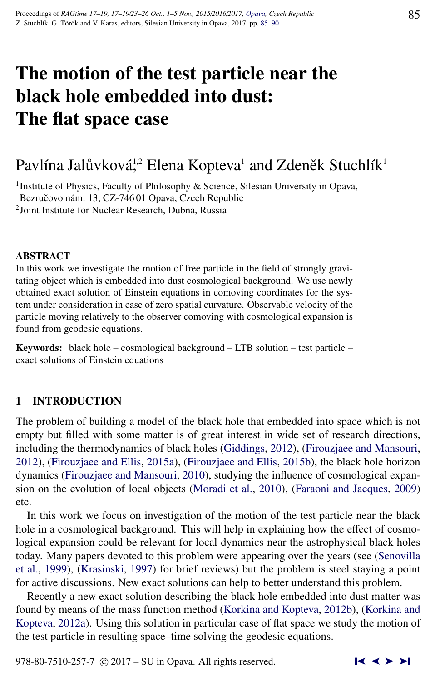# The motion of the test particle near the black hole embedded into dust: The flat space case

## Pavlína Jalůvková, $^2$  Elena Kopteva $^1$  and Zdeněk Stuchlík $^1$

<sup>1</sup>Institute of Physics, Faculty of Philosophy & Science, Silesian University in Opava, Bezručovo nám. 13, CZ-74601 Opava, Czech Republic 2 Joint Institute for Nuclear Research, Dubna, Russia

#### ABSTRACT

In this work we investigate the motion of free particle in the field of strongly gravitating object which is embedded into dust cosmological background. We use newly obtained exact solution of Einstein equations in comoving coordinates for the system under consideration in case of zero spatial curvature. Observable velocity of the particle moving relatively to the observer comoving with cosmological expansion is found from geodesic equations.

Keywords: black hole – cosmological background – LTB solution – test particle – exact solutions of Einstein equations

### 1 INTRODUCTION

The problem of building a model of the black hole that embedded into space which is not empty but filled with some matter is of great interest in wide set of research directions, including the thermodynamics of black holes [\(Giddings,](#page-5-0) [2012\)](#page-5-0), [\(Firouzjaee and Mansouri,](#page-5-0) [2012\)](#page-5-0), [\(Firouzjaee and Ellis,](#page-4-0) [2015a\)](#page-4-0), [\(Firouzjaee and Ellis,](#page-4-0) [2015b\)](#page-4-0), the black hole horizon dynamics [\(Firouzjaee and Mansouri,](#page-4-0) [2010\)](#page-4-0), studying the influence of cosmological expansion on the evolution of local objects [\(Moradi et al.,](#page-5-0) [2010\)](#page-5-0), [\(Faraoni and Jacques,](#page-4-0) [2009\)](#page-4-0) etc.

In this work we focus on investigation of the motion of the test particle near the black hole in a cosmological background. This will help in explaining how the effect of cosmological expansion could be relevant for local dynamics near the astrophysical black holes today. Many papers devoted to this problem were appearing over the years (see [\(Senovilla](#page-5-0) [et al.,](#page-5-0) [1999\)](#page-5-0), [\(Krasinski,](#page-5-0) [1997\)](#page-5-0) for brief reviews) but the problem is steel staying a point for active discussions. New exact solutions can help to better understand this problem.

Recently a new exact solution describing the black hole embedded into dust matter was found by means of the mass function method [\(Korkina and Kopteva,](#page-5-0) [2012b\)](#page-5-0), [\(Korkina and](#page-5-0) [Kopteva,](#page-5-0) [2012a\)](#page-5-0). Using this solution in particular case of flat space we study the motion of the test particle in resulting space–time solving the geodesic equations.

978-80-7510-257-7  $\odot$  2017 – SU in Opava. All rights reserved.  $\blacksquare$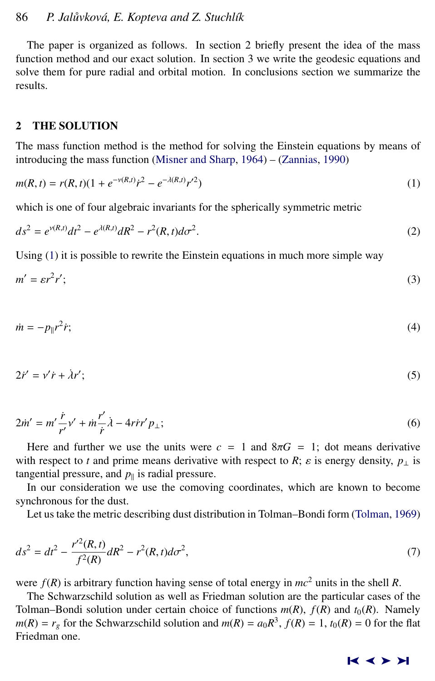<span id="page-1-0"></span>The paper is organized as follows. In section 2 briefly present the idea of the mass function method and our exact solution. In section 3 we write the geodesic equations and solve them for pure radial and orbital motion. In conclusions section we summarize the results.

#### 2 THE SOLUTION

The mass function method is the method for solving the Einstein equations by means of introducing the mass function [\(Misner and Sharp,](#page-5-0) [1964\)](#page-5-0) – [\(Zannias,](#page-5-0) [1990\)](#page-5-0)

$$
m(R,t) = r(R,t)(1 + e^{-\nu(R,t)}\dot{r}^2 - e^{-\lambda(R,t)}r^{\prime 2})
$$
\n(1)

which is one of four algebraic invariants for the spherically symmetric metric

$$
ds^{2} = e^{\nu(R,t)}dt^{2} - e^{\lambda(R,t)}dR^{2} - r^{2}(R,t)d\sigma^{2}.
$$
 (2)

Using (1) it is possible to rewrite the Einstein equations in much more simple way

$$
m' = \varepsilon r^2 r';\tag{3}
$$

$$
\dot{m} = -p_{\parallel}r^2\dot{r};\tag{4}
$$

$$
2\dot{r}' = v'\dot{r} + \dot{\lambda}r';\tag{5}
$$

$$
2m' = m'\frac{\dot{r}}{r'}v' + m\frac{r'}{\dot{r}}\dot{\lambda} - 4\dot{r}r'p_{\perp};
$$
\n(6)

Here and further we use the units were  $c = 1$  and  $8\pi G = 1$ ; dot means derivative with respect to *t* and prime means derivative with respect to *R*;  $\varepsilon$  is energy density,  $p_{\perp}$  is tangential pressure, and  $p_{\parallel}$  is radial pressure.

In our consideration we use the comoving coordinates, which are known to become synchronous for the dust.

Let us take the metric describing dust distribution in Tolman–Bondi form [\(Tolman,](#page-5-0) [1969\)](#page-5-0)

$$
ds^{2} = dt^{2} - \frac{r'^{2}(R, t)}{f^{2}(R)}dR^{2} - r^{2}(R, t)d\sigma^{2},
$$
\n(7)

were  $f(R)$  is arbitrary function having sense of total energy in  $mc^2$  units in the shell *R*.

The Schwarzschild solution as well as Friedman solution are the particular cases of the Tolman–Bondi solution under certain choice of functions  $m(R)$ ,  $f(R)$  and  $t_0(R)$ . Namely  $m(R) = r_g$  for the Schwarzschild solution and  $m(R) = a_0 R^3$ ,  $f(R) = 1$ ,  $t_0(R) = 0$  for the flat Friedman one.

#### ➤❙ ➤➤ ➤❙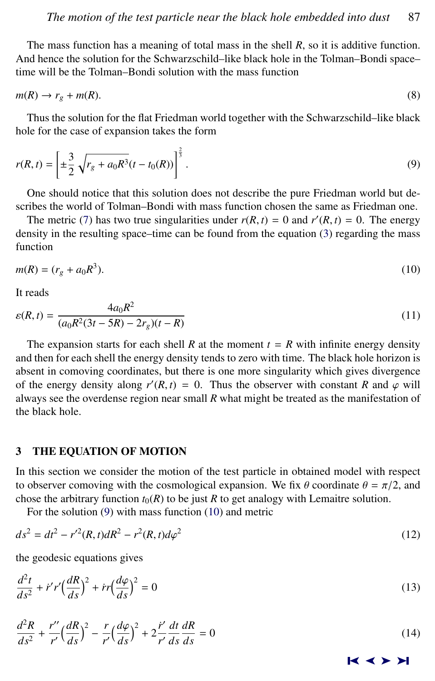<span id="page-2-0"></span>The mass function has a meaning of total mass in the shell *R*, so it is additive function. And hence the solution for the Schwarzschild–like black hole in the Tolman–Bondi space– time will be the Tolman–Bondi solution with the mass function

$$
m(R) \to r_g + m(R). \tag{8}
$$

Thus the solution for the flat Friedman world together with the Schwarzschild–like black hole for the case of expansion takes the form

$$
r(R,t) = \left[ \pm \frac{3}{2} \sqrt{r_g + a_0 R^3} (t - t_0(R)) \right]^{\frac{2}{3}}.
$$
 (9)

One should notice that this solution does not describe the pure Friedman world but describes the world of Tolman–Bondi with mass function chosen the same as Friedman one.

The metric [\(7\)](#page-1-0) has two true singularities under  $r(R, t) = 0$  and  $r'(R, t) = 0$ . The energy nsity in the resulting space-time can be found from the equation (3) regarding the mass density in the resulting space–time can be found from the equation [\(3\)](#page-1-0) regarding the mass function

$$
m(R) = (r_g + a_0 R^3).
$$
 (10)

It reads

$$
\varepsilon(R,t) = \frac{4a_0R^2}{(a_0R^2(3t - 5R) - 2r_g)(t - R)}
$$
\n(11)

The expansion starts for each shell *R* at the moment  $t = R$  with infinite energy density and then for each shell the energy density tends to zero with time. The black hole horizon is absent in comoving coordinates, but there is one more singularity which gives divergence of the energy density along  $r'(R, t) = 0$ . Thus the observer with constant *R* and  $\varphi$  will always see the overdense region near small *R* what might be treated as the manifestation of always see the overdense region near small *R* what might be treated as the manifestation of the black hole.

#### 3 THE EQUATION OF MOTION

In this section we consider the motion of the test particle in obtained model with respect to observer comoving with the cosmological expansion. We fix  $\theta$  coordinate  $\theta = \pi/2$ , and chose the arbitrary function  $t_0(R)$  to be just *R* to get analogy with Lemaitre solution.

For the solution (9) with mass function (10) and metric

$$
ds^2 = dt^2 - r'^2(R, t)dR^2 - r^2(R, t)d\varphi^2
$$
\n(12)

the geodesic equations gives

$$
\frac{d^2t}{ds^2} + i'r'\left(\frac{dR}{ds}\right)^2 + ir\left(\frac{d\varphi}{ds}\right)^2 = 0\tag{13}
$$

$$
\frac{d^2R}{ds^2} + \frac{r''}{r'} \Big(\frac{dR}{ds}\Big)^2 - \frac{r}{r'} \Big(\frac{d\varphi}{ds}\Big)^2 + 2\frac{\dot{r}'}{r'}\frac{dt}{ds}\frac{dR}{ds} = 0\tag{14}
$$

➤❙ ➤➤ ➤❙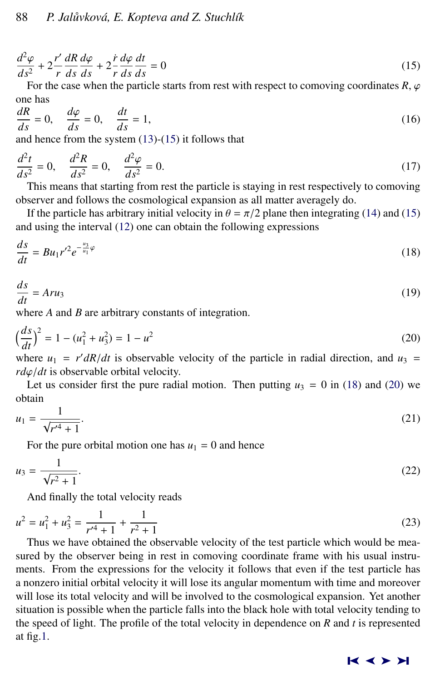$$
\frac{d^2\varphi}{ds^2} + 2\frac{r'}{r}\frac{dR}{ds}\frac{d\varphi}{ds} + 2\frac{\dot{r}}{r}\frac{d\varphi}{ds}\frac{dt}{ds} = 0\tag{15}
$$

For the case when the particle starts from rest with respect to comoving coordinates  $R$ ,  $\varphi$ one has

$$
\frac{dR}{ds} = 0, \quad \frac{d\varphi}{ds} = 0, \quad \frac{dt}{ds} = 1,\tag{16}
$$

and hence from the system [\(13\)](#page-2-0)-(15) it follows that

$$
\frac{d^2t}{ds^2} = 0, \quad \frac{d^2R}{ds^2} = 0, \quad \frac{d^2\varphi}{ds^2} = 0.
$$
 (17)

This means that starting from rest the particle is staying in rest respectively to comoving observer and follows the cosmological expansion as all matter averagely do.

If the particle has arbitrary initial velocity in  $\theta = \pi/2$  plane then integrating [\(14\)](#page-2-0) and (15) and using the interval [\(12\)](#page-2-0) one can obtain the following expressions

$$
\frac{ds}{dt} = Bu_1 r'^2 e^{-\frac{u_3}{u_1}\varphi} \tag{18}
$$

$$
\frac{ds}{dt} = Aru_3\tag{19}
$$

where *A* and *B* are arbitrary constants of integration.

$$
\left(\frac{ds}{dt}\right)^2 = 1 - (u_1^2 + u_3^2) = 1 - u^2\tag{20}
$$

where  $u_1 = r' dR/dt$  is observable velocity of the particle in radial direction, and  $u_3 = r d\omega/dt$  is observable orbital velocity.  $r d\varphi/dt$  is observable orbital velocity.

Let us consider first the pure radial motion. Then putting  $u_3 = 0$  in (18) and (20) we obtain

$$
u_1 = \frac{1}{\sqrt{r'^4 + 1}}.\tag{21}
$$

For the pure orbital motion one has  $u_1 = 0$  and hence

$$
u_3 = \frac{1}{\sqrt{r^2 + 1}}.\tag{22}
$$

And finally the total velocity reads

$$
u^2 = u_1^2 + u_3^2 = \frac{1}{r'^4 + 1} + \frac{1}{r^2 + 1}
$$
 (23)

Thus we have obtained the observable velocity of the test particle which would be measured by the observer being in rest in comoving coordinate frame with his usual instruments. From the expressions for the velocity it follows that even if the test particle has a nonzero initial orbital velocity it will lose its angular momentum with time and moreover will lose its total velocity and will be involved to the cosmological expansion. Yet another situation is possible when the particle falls into the black hole with total velocity tending to the speed of light. The profile of the total velocity in dependence on *R* and *t* is represented at fig[.1.](#page-4-0)

#### ➤❙ ➤➤ ➤❙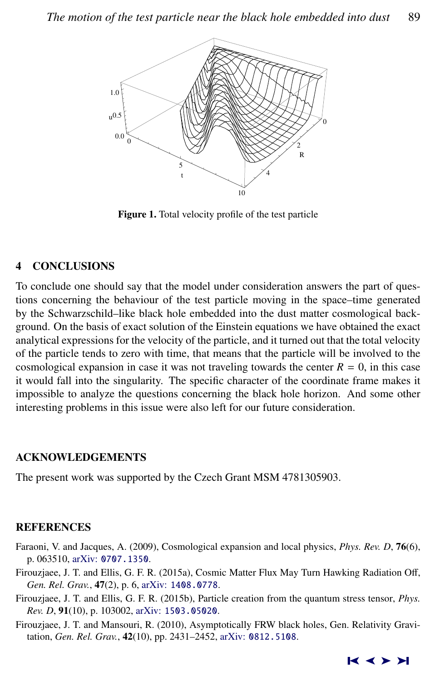<span id="page-4-0"></span>

Figure 1. Total velocity profile of the test particle

### 4 CONCLUSIONS

To conclude one should say that the model under consideration answers the part of questions concerning the behaviour of the test particle moving in the space–time generated by the Schwarzschild–like black hole embedded into the dust matter cosmological background. On the basis of exact solution of the Einstein equations we have obtained the exact analytical expressions for the velocity of the particle, and it turned out that the total velocity of the particle tends to zero with time, that means that the particle will be involved to the cosmological expansion in case it was not traveling towards the center  $R = 0$ , in this case it would fall into the singularity. The specific character of the coordinate frame makes it impossible to analyze the questions concerning the black hole horizon. And some other interesting problems in this issue were also left for our future consideration.

#### ACKNOWLEDGEMENTS

The present work was supported by the Czech Grant MSM 4781305903.

#### **REFERENCES**

- Faraoni, V. and Jacques, A. (2009), Cosmological expansion and local physics, *Phys. Rev. D*, 76(6), p. 063510, arXiv: [0707.1350](http://www.arxiv.org/abs/0707.1350).
- Firouzjaee, J. T. and Ellis, G. F. R. (2015a), Cosmic Matter Flux May Turn Hawking Radiation Off, *Gen. Rel. Grav.*, 47(2), p. 6, arXiv: [1408.0778](http://www.arxiv.org/abs/1408.0778).
- Firouzjaee, J. T. and Ellis, G. F. R. (2015b), Particle creation from the quantum stress tensor, *Phys. Rev. D*, 91(10), p. 103002, arXiv: [1503.05020](http://www.arxiv.org/abs/1503.05020).
- Firouzjaee, J. T. and Mansouri, R. (2010), Asymptotically FRW black holes, Gen. Relativity Gravitation, *Gen. Rel. Grav.*, 42(10), pp. 2431–2452, arXiv: [0812.5108](http://www.arxiv.org/abs/0812.5108).